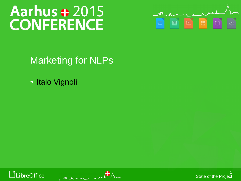# Aarhus + 2015<br>CONFERENCE



Marketing for NLPs

**Italo Vignoli** 





1 State of the Project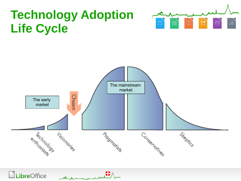# **Technology Adoption Life Cycle**





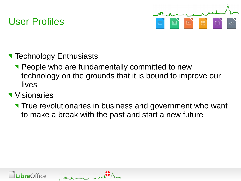## User Profiles



- **Technology Enthusiasts** 
	- **People who are fundamentally committed to new** technology on the grounds that it is bound to improve our lives
- **Visionaries** 
	- True revolutionaries in business and government who want to make a break with the past and start a new future



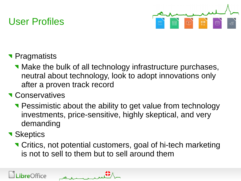# User Profiles



- **Pragmatists** 
	- **Nake the bulk of all technology infrastructure purchases,** neutral about technology, look to adopt innovations only after a proven track record
- **T** Conservatives
	- **Pessimistic about the ability to get value from technology** investments, price-sensitive, highly skeptical, and very demanding
- **Skeptics** 
	- Critics, not potential customers, goal of hi-tech marketing is not to sell to them but to sell around them

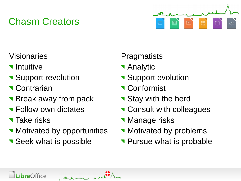# Chasm Creators



#### Visionaries

- **v** Intuitive
- Support revolution
- **Contrarian**
- **Break away from pack**
- **T** Follow own dictates
- **Take risks**
- **Notivated by opportunities**
- Seek what is possible

#### **Pragmatists**

- **Analytic**
- Support evolution
- **Conformist**
- Stay with the herd
- **T** Consult with colleagues
- **Manage risks**
- Motivated by problems
- **Pursue what is probable**

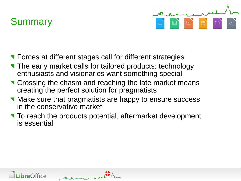## **Summary**



- **T** Forces at different stages call for different strategies
- The early market calls for tailored products: technology enthusiasts and visionaries want something special
- **T** Crossing the chasm and reaching the late market means creating the perfect solution for pragmatists
- **Nake sure that pragmatists are happy to ensure success** in the conservative market
- To reach the products potential, aftermarket development is essential